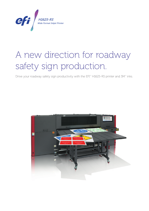

# A new direction for roadway safety sign production.

Drive your roadway safety sign productivity with the EFI™ H1625-RS printer and 3M™ inks.

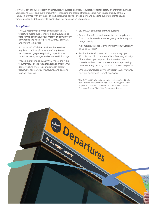Now you can produce custom and standard, regulated and non-regulated, roadside safety and tourism signage applications faster and more efficiently — thanks to the digital efficiencies and high image quality of the EFI H1625-RS printer with 3M inks. For traffic sign and agency shops, it means direct to substrate prints, lower running costs, and the ability to print what you need, when you need it.

### *At a glance*

- The 1.6 metre wide printer prints direct to 3M reflective media in roll, sheeted, and mounted-torigid forms, expanding your margin opportunity by eliminating the need to pre-treat, print, laminate, and mount to plastics
- Six colours (CMYKBR) to address the needs of regulated traffic applications, and eight-level variable drop greyscale printing capability for superior-quality images and optimised ink usage
- Printed digital image quality that meets the rigid requirements of the regulated sign segment while delivering fine lines, text, and smooth colour transitions for tourism, wayfinding, and custom roadway signage
- EFI and 3M combined printing system:
- Peace of mind in meeting regulatory compliance for colour, fade resistance, longevity, reflectivity, and image quality
- A complete Matched Component System<sup>®</sup> warranty of up to 12 years\*
- Production level printer, with productivity up to 18 m2 /hr on 122 cm wide media in Roadway Quality Mode, allows you to print direct to reflective material with no pre- or post-process steps, saving time, lowering carrying costs, and increasing profits
- One year Enhanced Service Program (ESP) warranty for your printer and Fiery® XF software
	- \*The 3M™ MCS™ Warranty for traffic backs regulated traffic signs printed with 3M ink and select 3M media, printed and applied according to 3M product and information folders. See www.3m.com/digital4traffic for more details.

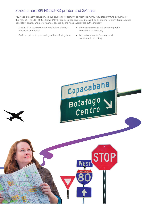## Street smart EFI H1625-RS printer and 3M inks

You need excellent adhesion, colour, and retro-reflectivity to meet the highly regulated printing demands of this market. The EFI H1625-RS and 3M inks are designed and tested to work as an optimal system that produces consistent quality and performance, backed by the finest warranties in the industry.

- Meets ASTM requirement of coefficient of retroreflection and colour
- Go from printer to processing with no drying time
- Print traffic colours and custom graphic colours simultaneously
- Less solvent waste, less sign and consumable inventory